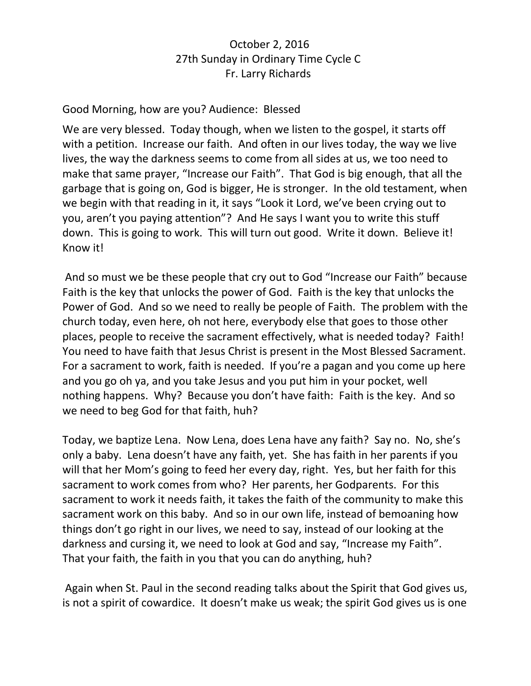## October 2, 2016 27th Sunday in Ordinary Time Cycle C Fr. Larry Richards

## Good Morning, how are you? Audience: Blessed

We are very blessed. Today though, when we listen to the gospel, it starts off with a petition. Increase our faith. And often in our lives today, the way we live lives, the way the darkness seems to come from all sides at us, we too need to make that same prayer, "Increase our Faith". That God is big enough, that all the garbage that is going on, God is bigger, He is stronger. In the old testament, when we begin with that reading in it, it says "Look it Lord, we've been crying out to you, aren't you paying attention"? And He says I want you to write this stuff down. This is going to work. This will turn out good. Write it down. Believe it! Know it!

And so must we be these people that cry out to God "Increase our Faith" because Faith is the key that unlocks the power of God. Faith is the key that unlocks the Power of God. And so we need to really be people of Faith. The problem with the church today, even here, oh not here, everybody else that goes to those other places, people to receive the sacrament effectively, what is needed today? Faith! You need to have faith that Jesus Christ is present in the Most Blessed Sacrament. For a sacrament to work, faith is needed. If you're a pagan and you come up here and you go oh ya, and you take Jesus and you put him in your pocket, well nothing happens. Why? Because you don't have faith: Faith is the key. And so we need to beg God for that faith, huh?

Today, we baptize Lena. Now Lena, does Lena have any faith? Say no. No, she's only a baby. Lena doesn't have any faith, yet. She has faith in her parents if you will that her Mom's going to feed her every day, right. Yes, but her faith for this sacrament to work comes from who? Her parents, her Godparents. For this sacrament to work it needs faith, it takes the faith of the community to make this sacrament work on this baby. And so in our own life, instead of bemoaning how things don't go right in our lives, we need to say, instead of our looking at the darkness and cursing it, we need to look at God and say, "Increase my Faith". That your faith, the faith in you that you can do anything, huh?

Again when St. Paul in the second reading talks about the Spirit that God gives us, is not a spirit of cowardice. It doesn't make us weak; the spirit God gives us is one